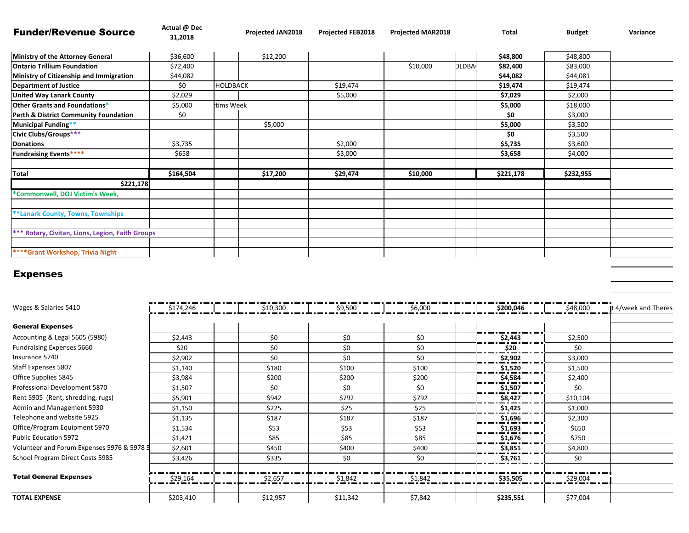| <b>Funder/Revenue Source</b>                            | Actual @ Dec<br>31,2018 |                 | <b>Projected JAN2018</b> | <b>Projected FEB2018</b> | <b>Projected MAR2018</b> |              | Total     | <b>Budget</b> | Variance |
|---------------------------------------------------------|-------------------------|-----------------|--------------------------|--------------------------|--------------------------|--------------|-----------|---------------|----------|
| Ministry of the Attorney General                        | \$36,600                |                 | \$12,200                 |                          |                          |              | \$48,800  | \$48,800      |          |
| <b>Ontario Trillium Foundation</b>                      | \$72,400                |                 |                          |                          | \$10,000                 | <b>DLDBA</b> | \$82,400  | \$83,000      |          |
| Ministry of Citizenship and Immigration                 | \$44,082                |                 |                          |                          |                          |              | \$44,082  | \$44,081      |          |
| <b>Department of Justice</b>                            | \$0                     | <b>HOLDBACK</b> |                          | \$19,474                 |                          |              | \$19,474  | \$19,474      |          |
| <b>United Way Lanark County</b>                         | \$2,029                 |                 |                          | \$5,000                  |                          |              | \$7,029   | \$2,000       |          |
| Other Grants and Foundations*                           | \$5,000                 | tims Week       |                          |                          |                          |              | \$5,000   | \$18,000      |          |
| Perth & District Community Foundation                   | \$0                     |                 |                          |                          |                          |              | \$0       | \$3,000       |          |
| Municipal Funding**                                     |                         |                 | \$5,000                  |                          |                          |              | \$5,000   | \$3,500       |          |
| Civic Clubs/Groups***                                   |                         |                 |                          |                          |                          |              | \$0       | \$3,500       |          |
| <b>Donations</b>                                        | \$3,735                 |                 |                          | \$2,000                  |                          |              | \$5,735   | \$3,600       |          |
| <b>Fundraising Events****</b>                           | \$658                   |                 |                          | \$3,000                  |                          |              | \$3,658   | \$4,000       |          |
| <b>Total</b>                                            | \$164,504               |                 | \$17,200                 | \$29,474                 | \$10,000                 |              | \$221,178 | \$232,955     |          |
| \$221,178                                               |                         |                 |                          |                          |                          |              |           |               |          |
| *Commonwell, DOJ Victim's Week,                         |                         |                 |                          |                          |                          |              |           |               |          |
| <b>**Lanark County, Towns, Townships</b>                |                         |                 |                          |                          |                          |              |           |               |          |
| <b>*** Rotary, Civitan, Lions, Legion, Faith Groups</b> |                         |                 |                          |                          |                          |              |           |               |          |
| <b>****Grant Workshop, Trivia Night</b>                 |                         |                 |                          |                          |                          |              |           |               |          |

## Expenses

| Wages & Salaries 5410                      | \$174,246 | \$10,300 | \$9,500  | \$6,000 | \$200,046 | \$48,000 | It 4/week and Theres: |
|--------------------------------------------|-----------|----------|----------|---------|-----------|----------|-----------------------|
| <b>General Expenses</b>                    |           |          |          |         |           |          |                       |
| Accounting & Legal 5605 (5980)             | \$2,443   | \$0      | \$0      | \$0     | \$2,443   | \$2,500  |                       |
| Fundraising Expenses 5660                  | \$20      | \$0      | \$0      | \$0     | \$20      | \$0      |                       |
| Insurance 5740                             | \$2,902   | \$0      | \$0      | \$0     | \$2,902   | \$3,000  |                       |
| Staff Expenses 5807                        | \$1,140   | \$180    | \$100    | \$100   | \$1,520   | \$1,500  |                       |
| Office Supplies 5845                       | \$3,984   | \$200    | \$200    | \$200   | \$4,584   | \$2,400  |                       |
| Professional Development 5870              | \$1,507   | \$0      | \$0      | \$0     | \$1,507   | \$0      |                       |
| Rent 5905 (Rent, shredding, rugs)          | \$5,901   | \$942    | \$792    | \$792   | \$8,427   | \$10,104 |                       |
| Admin and Management 5930                  | \$1,150   | \$225    | \$25     | \$25    | \$1,425   | \$1,000  |                       |
| Telephone and website 5925                 | \$1,135   | \$187    | \$187    | \$187   | \$1,696   | \$2,300  |                       |
| Office/Program Equipment 5970              | \$1,534   | \$53     | \$53     | \$53    | \$1,693   | \$650    |                       |
| <b>Public Education 5972</b>               | \$1,421   | \$85     | \$85     | \$85    | \$1,676   | \$750    |                       |
| Volunteer and Forum Expenses 5976 & 5978 5 | \$2,601   | \$450    | \$400    | \$400   | \$3,851   | \$4,800  |                       |
| School Program Direct Costs 5985           | \$3,426   | \$335    | \$0      | \$0     | \$3,761   | \$0      |                       |
| <b>Total General Expenses</b>              | \$29,164  | \$2,657  | \$1,842  | \$1,842 | \$35,505  | \$29,004 |                       |
| <b>TOTAL EXPENSE</b>                       | \$203,410 | \$12,957 | \$11,342 | \$7,842 | \$235,551 | \$77,004 |                       |